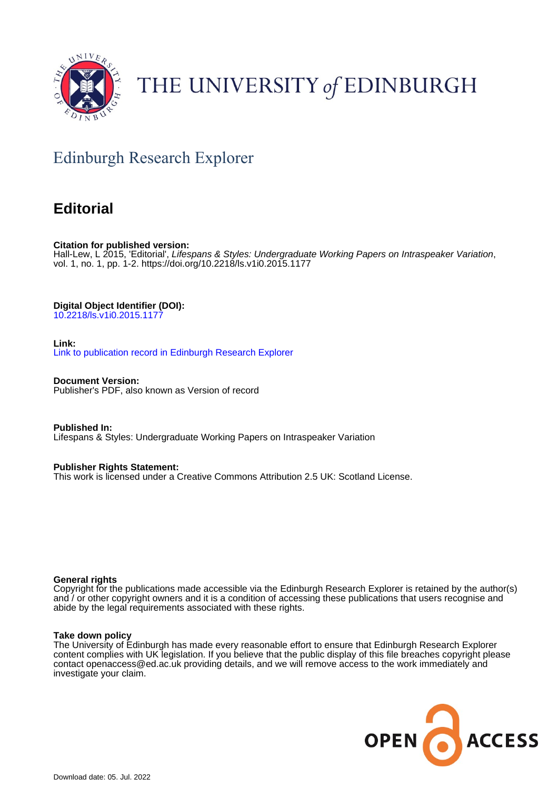

# THE UNIVERSITY of EDINBURGH

## Edinburgh Research Explorer

### **Editorial**

**Citation for published version:** Hall-Lew, L 2015, 'Editorial', Lifespans & Styles: Undergraduate Working Papers on Intraspeaker Variation, vol. 1, no. 1, pp. 1-2. <https://doi.org/10.2218/ls.v1i0.2015.1177>

### **Digital Object Identifier (DOI):**

[10.2218/ls.v1i0.2015.1177](https://doi.org/10.2218/ls.v1i0.2015.1177)

#### **Link:**

[Link to publication record in Edinburgh Research Explorer](https://www.research.ed.ac.uk/en/publications/86832fab-5a02-406e-bc49-1b1cb831af80)

**Document Version:** Publisher's PDF, also known as Version of record

**Published In:** Lifespans & Styles: Undergraduate Working Papers on Intraspeaker Variation

#### **Publisher Rights Statement:**

This work is licensed under a Creative Commons Attribution 2.5 UK: Scotland License.

#### **General rights**

Copyright for the publications made accessible via the Edinburgh Research Explorer is retained by the author(s) and / or other copyright owners and it is a condition of accessing these publications that users recognise and abide by the legal requirements associated with these rights.

#### **Take down policy**

The University of Edinburgh has made every reasonable effort to ensure that Edinburgh Research Explorer content complies with UK legislation. If you believe that the public display of this file breaches copyright please contact openaccess@ed.ac.uk providing details, and we will remove access to the work immediately and investigate your claim.

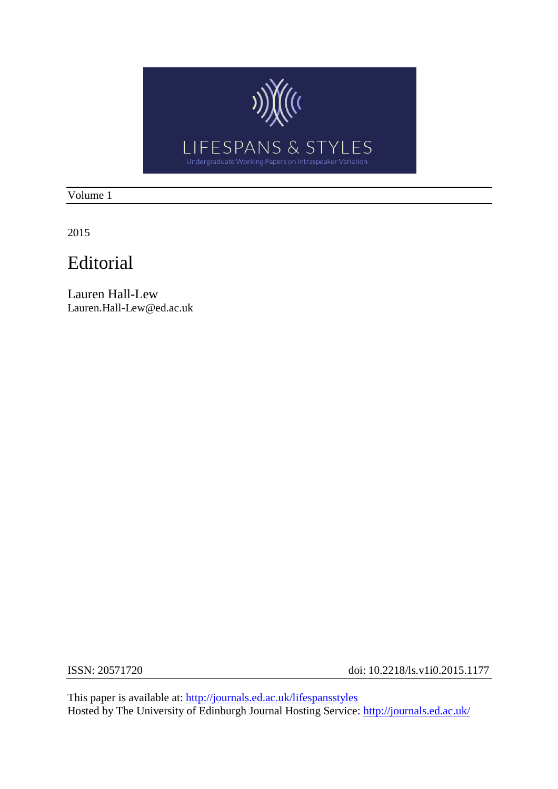

Volume 1

2015

### Editorial

Lauren Hall-Lew Lauren.Hall-Lew@ed.ac.uk

ISSN: 20571720 doi: 10.2218/ls.v1i0.2015.1177

This paper is available at:<http://journals.ed.ac.uk/lifespansstyles> Hosted by The University of Edinburgh Journal Hosting Service:<http://journals.ed.ac.uk/>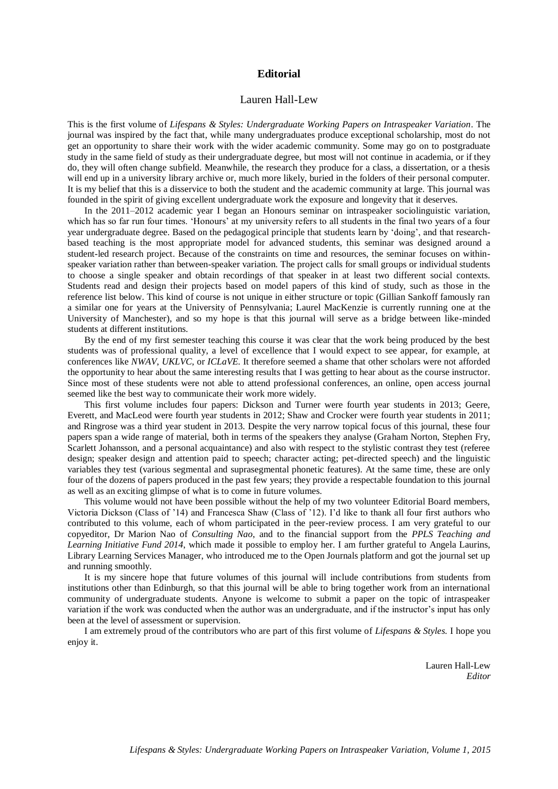#### **Editorial**

#### Lauren Hall-Lew

This is the first volume of *Lifespans & Styles: Undergraduate Working Papers on Intraspeaker Variation*. The journal was inspired by the fact that, while many undergraduates produce exceptional scholarship, most do not get an opportunity to share their work with the wider academic community. Some may go on to postgraduate study in the same field of study as their undergraduate degree, but most will not continue in academia, or if they do, they will often change subfield. Meanwhile, the research they produce for a class, a dissertation, or a thesis will end up in a university library archive or, much more likely, buried in the folders of their personal computer. It is my belief that this is a disservice to both the student and the academic community at large. This journal was founded in the spirit of giving excellent undergraduate work the exposure and longevity that it deserves.

In the 2011–2012 academic year I began an Honours seminar on intraspeaker sociolinguistic variation, which has so far run four times. 'Honours' at my university refers to all students in the final two years of a four year undergraduate degree. Based on the pedagogical principle that students learn by 'doing', and that researchbased teaching is the most appropriate model for advanced students, this seminar was designed around a student-led research project. Because of the constraints on time and resources, the seminar focuses on withinspeaker variation rather than between-speaker variation. The project calls for small groups or individual students to choose a single speaker and obtain recordings of that speaker in at least two different social contexts. Students read and design their projects based on model papers of this kind of study, such as those in the reference list below. This kind of course is not unique in either structure or topic (Gillian Sankoff famously ran a similar one for years at the University of Pennsylvania; Laurel MacKenzie is currently running one at the University of Manchester), and so my hope is that this journal will serve as a bridge between like-minded students at different institutions.

By the end of my first semester teaching this course it was clear that the work being produced by the best students was of professional quality, a level of excellence that I would expect to see appear, for example, at conferences like *NWAV*, *UKLVC*, or *ICLaVE.* It therefore seemed a shame that other scholars were not afforded the opportunity to hear about the same interesting results that I was getting to hear about as the course instructor. Since most of these students were not able to attend professional conferences, an online, open access journal seemed like the best way to communicate their work more widely.

This first volume includes four papers: Dickson and Turner were fourth year students in 2013; Geere, Everett, and MacLeod were fourth year students in 2012; Shaw and Crocker were fourth year students in 2011; and Ringrose was a third year student in 2013. Despite the very narrow topical focus of this journal, these four papers span a wide range of material, both in terms of the speakers they analyse (Graham Norton, Stephen Fry, Scarlett Johansson, and a personal acquaintance) and also with respect to the stylistic contrast they test (referee design; speaker design and attention paid to speech; character acting; pet-directed speech) and the linguistic variables they test (various segmental and suprasegmental phonetic features). At the same time, these are only four of the dozens of papers produced in the past few years; they provide a respectable foundation to this journal as well as an exciting glimpse of what is to come in future volumes.

This volume would not have been possible without the help of my two volunteer Editorial Board members, Victoria Dickson (Class of '14) and Francesca Shaw (Class of '12). I'd like to thank all four first authors who contributed to this volume, each of whom participated in the peer-review process. I am very grateful to our copyeditor, Dr Marion Nao of *Consulting Nao*, and to the financial support from the *PPLS Teaching and Learning Initiative Fund 2014*, which made it possible to employ her. I am further grateful to Angela Laurins, Library Learning Services Manager, who introduced me to the Open Journals platform and got the journal set up and running smoothly.

It is my sincere hope that future volumes of this journal will include contributions from students from institutions other than Edinburgh, so that this journal will be able to bring together work from an international community of undergraduate students. Anyone is welcome to submit a paper on the topic of intraspeaker variation if the work was conducted when the author was an undergraduate, and if the instructor's input has only been at the level of assessment or supervision.

I am extremely proud of the contributors who are part of this first volume of *Lifespans & Styles.* I hope you enjoy it.

> Lauren Hall-Lew *Editor*